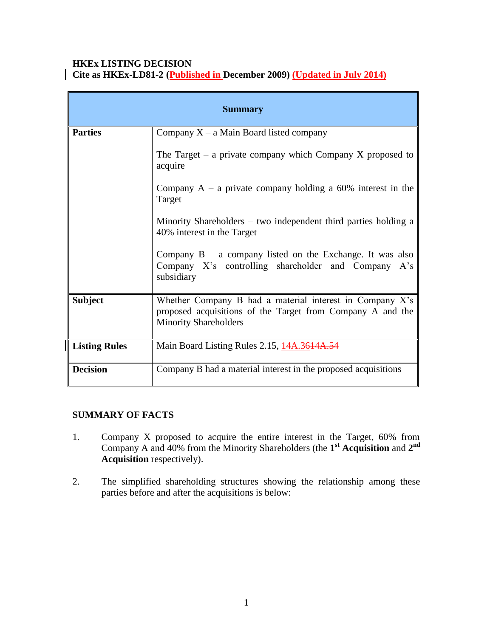### **HKEx LISTING DECISION Cite as HKEx-LD81-2 (Published in December 2009) (Updated in July 2014)**

| <b>Summary</b>       |                                                                                                                                                           |
|----------------------|-----------------------------------------------------------------------------------------------------------------------------------------------------------|
| <b>Parties</b>       | Company $X - a$ Main Board listed company                                                                                                                 |
|                      | The Target – a private company which Company X proposed to<br>acquire                                                                                     |
|                      | Company $A - a$ private company holding a 60% interest in the<br>Target                                                                                   |
|                      | Minority Shareholders – two independent third parties holding a<br>40% interest in the Target                                                             |
|                      | Company $B - a$ company listed on the Exchange. It was also<br>Company X's controlling shareholder and Company<br>A's<br>subsidiary                       |
| <b>Subject</b>       | Whether Company B had a material interest in Company $X$ 's<br>proposed acquisitions of the Target from Company A and the<br><b>Minority Shareholders</b> |
| <b>Listing Rules</b> | Main Board Listing Rules 2.15, 14A.3614A.54                                                                                                               |
| <b>Decision</b>      | Company B had a material interest in the proposed acquisitions                                                                                            |

### **SUMMARY OF FACTS**

- 1. Company X proposed to acquire the entire interest in the Target, 60% from Company A and 40% from the Minority Shareholders (the **1 st Acquisition** and **2 nd Acquisition** respectively).
- 2. The simplified shareholding structures showing the relationship among these parties before and after the acquisitions is below: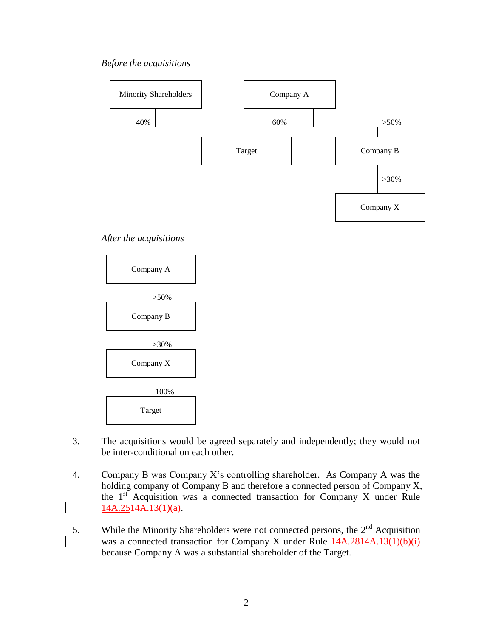*Before the acquisitions*



*After the acquisitions*



- 3. The acquisitions would be agreed separately and independently; they would not be inter-conditional on each other.
- 4. Company B was Company X's controlling shareholder. As Company A was the holding company of Company B and therefore a connected person of Company X, the 1st Acquisition was a connected transaction for Company X under Rule  $14A.2514A.13(1)(a)$ .
- 5. While the Minority Shareholders were not connected persons, the  $2<sup>nd</sup>$  Acquisition was a connected transaction for Company X under Rule  $14A.2844A.13(1)(b)(i)$ because Company A was a substantial shareholder of the Target.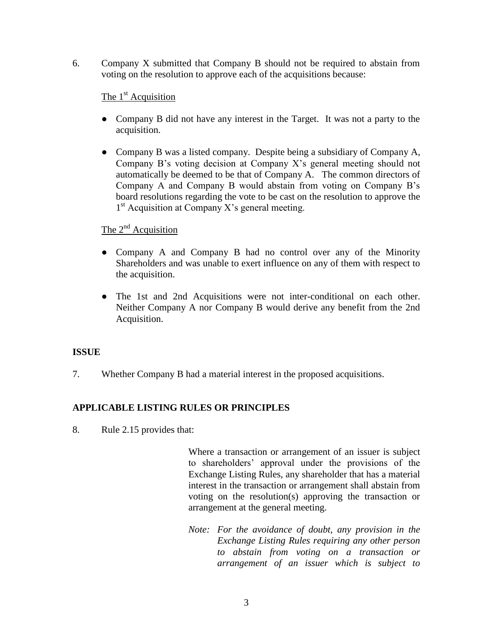6. Company X submitted that Company B should not be required to abstain from voting on the resolution to approve each of the acquisitions because:

### The  $1<sup>st</sup>$  Acquisition

- Company B did not have any interest in the Target. It was not a party to the acquisition.
- Company B was a listed company. Despite being a subsidiary of Company A, Company B's voting decision at Company X's general meeting should not automatically be deemed to be that of Company A. The common directors of Company A and Company B would abstain from voting on Company B's board resolutions regarding the vote to be cast on the resolution to approve the 1<sup>st</sup> Acquisition at Company X's general meeting.

## The  $2<sup>nd</sup>$  Acquisition

- Company A and Company B had no control over any of the Minority Shareholders and was unable to exert influence on any of them with respect to the acquisition.
- The 1st and 2nd Acquisitions were not inter-conditional on each other. Neither Company A nor Company B would derive any benefit from the 2nd Acquisition.

### **ISSUE**

7. Whether Company B had a material interest in the proposed acquisitions.

### **APPLICABLE LISTING RULES OR PRINCIPLES**

8. Rule 2.15 provides that:

Where a transaction or arrangement of an issuer is subject to shareholders' approval under the provisions of the Exchange Listing Rules, any shareholder that has a material interest in the transaction or arrangement shall abstain from voting on the resolution(s) approving the transaction or arrangement at the general meeting.

*Note: For the avoidance of doubt, any provision in the Exchange Listing Rules requiring any other person to abstain from voting on a transaction or arrangement of an issuer which is subject to*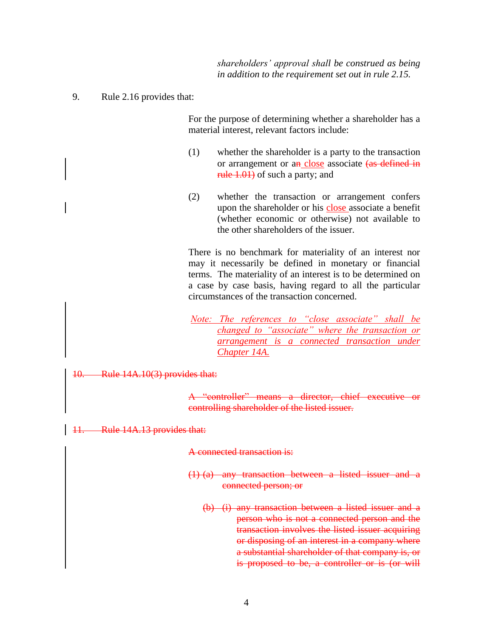*shareholders' approval shall be construed as being in addition to the requirement set out in rule 2.15.*

9. Rule 2.16 provides that:

For the purpose of determining whether a shareholder has a material interest, relevant factors include:

- (1) whether the shareholder is a party to the transaction or arrangement or an close associate (as defined in rule 1.01) of such a party; and
- (2) whether the transaction or arrangement confers upon the shareholder or his close associate a benefit (whether economic or otherwise) not available to the other shareholders of the issuer.

There is no benchmark for materiality of an interest nor may it necessarily be defined in monetary or financial terms. The materiality of an interest is to be determined on a case by case basis, having regard to all the particular circumstances of the transaction concerned.

*Note: The references to "close associate" shall be changed to "associate" where the transaction or arrangement is a connected transaction under Chapter 14A.*

#### 10. Rule 14A.10(3) provides that:

A "controller" means a director, chief executive or controlling shareholder of the listed issuer.

11. Rule 14A.13 provides that:

A connected transaction is:

- (1) (a) any transaction between a listed issuer and a connected person; or
	- (b) (i) any transaction between a listed issuer and a person who is not a connected person and the transaction involves the listed issuer acquiring or disposing of an interest in a company where a substantial shareholder of that company is, or is proposed to be, a controller or is (or will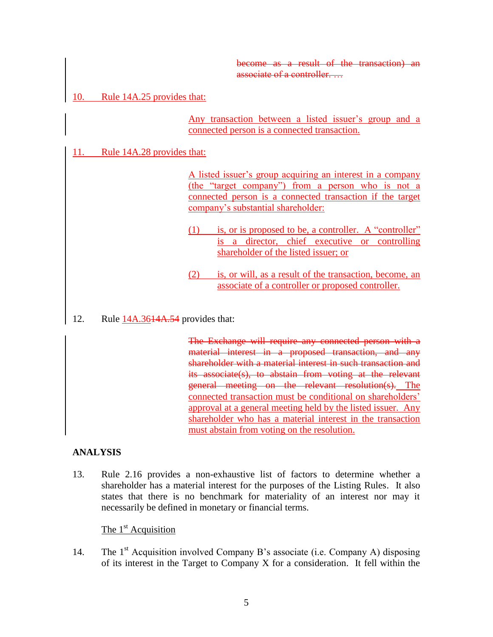become as a result of the transaction) an associate of a controller.

### 10. Rule 14A.25 provides that:

Any transaction between a listed issuer's group and a connected person is a connected transaction.

### 11. Rule 14A.28 provides that:

A listed issuer's group acquiring an interest in a company (the "target company") from a person who is not a connected person is a connected transaction if the target company's substantial shareholder:

- (1) is, or is proposed to be, a controller. A "controller" is a director, chief executive or controlling shareholder of the listed issuer; or
- (2) is, or will, as a result of the transaction, become, an associate of a controller or proposed controller.
- 12. Rule 14A.3614A.54 provides that:

The Exchange will require any connected person with a material interest in a proposed transaction, and any shareholder with a material interest in such transaction and its associate(s), to abstain from voting at the relevant general meeting on the relevant resolution(s). The connected transaction must be conditional on shareholders' approval at a general meeting held by the listed issuer. Any shareholder who has a material interest in the transaction must abstain from voting on the resolution.

### **ANALYSIS**

13. Rule 2.16 provides a non-exhaustive list of factors to determine whether a shareholder has a material interest for the purposes of the Listing Rules. It also states that there is no benchmark for materiality of an interest nor may it necessarily be defined in monetary or financial terms.

The  $1<sup>st</sup>$  Acquisition

14. The 1<sup>st</sup> Acquisition involved Company B's associate (i.e. Company A) disposing of its interest in the Target to Company X for a consideration. It fell within the